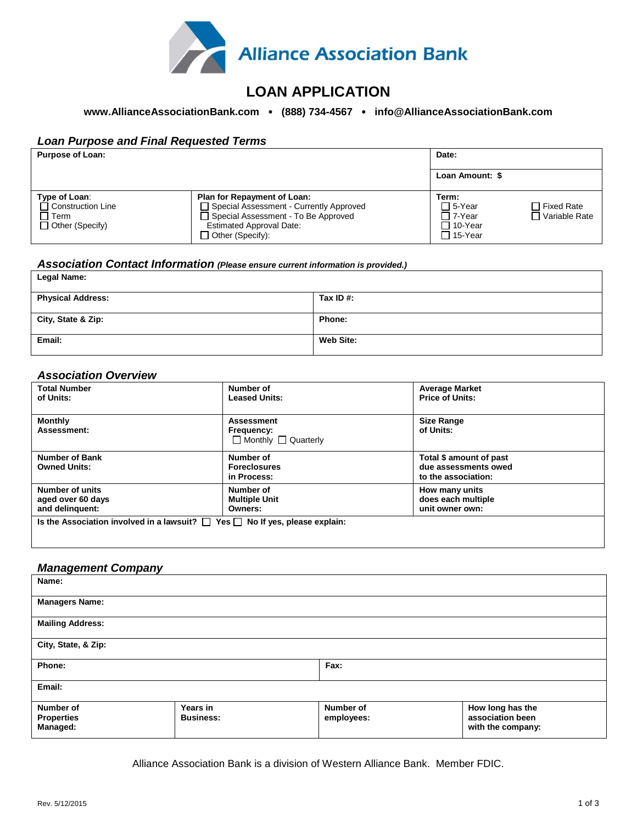

# **LOAN APPLICATION**

### **www.AllianceAssociationBank.com (888) 734-4567 info@AllianceAssociationBank.com**

#### *Loan Purpose and Final Requested Terms*

| <b>Purpose of Loan:</b>                                                            |                                                                                                                                                                                        | Date:                                                        |                                      |
|------------------------------------------------------------------------------------|----------------------------------------------------------------------------------------------------------------------------------------------------------------------------------------|--------------------------------------------------------------|--------------------------------------|
|                                                                                    |                                                                                                                                                                                        | Loan Amount: \$                                              |                                      |
| Type of Loan:<br>$\Box$ Construction Line<br>$\Box$ Term<br>$\Box$ Other (Specify) | <b>Plan for Repayment of Loan:</b><br>□ Special Assessment - Currently Approved<br>□ Special Assessment - To Be Approved<br><b>Estimated Approval Date:</b><br>$\Box$ Other (Specify): | Term:<br>□ 5-Year<br>□ 7-Year<br>□ 10-Year<br>$\Box$ 15-Year | $\Box$ Fixed Rate<br>□ Variable Rate |

#### *Association Contact Information (Please ensure current information is provided.)*

| <b>Legal Name:</b>       |              |
|--------------------------|--------------|
| <b>Physical Address:</b> | Tax ID $#$ : |
| City, State & Zip:       | Phone:       |
| Email:                   | Web Site:    |

#### *Association Overview*

| <b>Total Number</b><br>of Units:                                                       | Number of<br><b>Leased Units:</b>             | <b>Average Market</b><br><b>Price of Units:</b> |
|----------------------------------------------------------------------------------------|-----------------------------------------------|-------------------------------------------------|
| <b>Monthly</b>                                                                         | <b>Assessment</b>                             | <b>Size Range</b>                               |
| Assessment:                                                                            | Frequency:<br>$\Box$ Monthly $\Box$ Quarterly | of Units:                                       |
| <b>Number of Bank</b>                                                                  | Number of                                     | Total \$ amount of past                         |
| <b>Owned Units:</b>                                                                    | <b>Foreclosures</b><br>in Process:            | due assessments owed<br>to the association:     |
|                                                                                        |                                               |                                                 |
| Number of units                                                                        | Number of                                     | How many units                                  |
| aged over 60 days                                                                      | <b>Multiple Unit</b>                          | does each multiple                              |
| and delinquent:                                                                        | Owners:                                       | unit owner own:                                 |
| Is the Association involved in a lawsuit? $\Box$ Yes $\Box$ No If yes, please explain: |                                               |                                                 |

#### *Management Company*

| Name:                         |                  |            |                                       |
|-------------------------------|------------------|------------|---------------------------------------|
| <b>Managers Name:</b>         |                  |            |                                       |
| <b>Mailing Address:</b>       |                  |            |                                       |
| City, State, & Zip:           |                  |            |                                       |
| Phone:                        |                  | Fax:       |                                       |
| Email:                        |                  |            |                                       |
| Number of                     | <b>Years in</b>  | Number of  | How long has the                      |
| <b>Properties</b><br>Managed: | <b>Business:</b> | employees: | association been<br>with the company: |
|                               |                  |            |                                       |

Alliance Association Bank is a division of Western Alliance Bank. Member FDIC.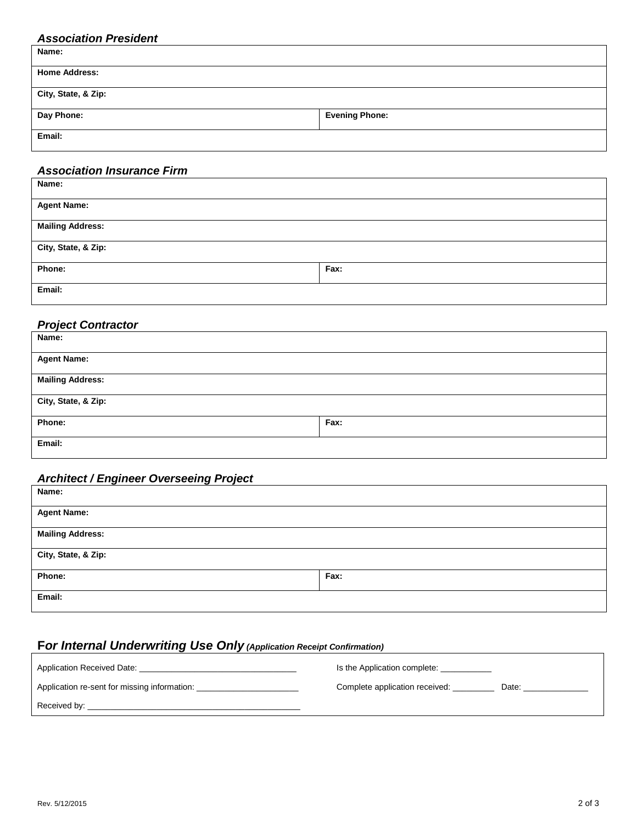### *Association President*

| Name:                |                       |
|----------------------|-----------------------|
| <b>Home Address:</b> |                       |
| City, State, & Zip:  |                       |
| Day Phone:           | <b>Evening Phone:</b> |
| Email:               |                       |

### *Association Insurance Firm*

| Name:                   |      |
|-------------------------|------|
| <b>Agent Name:</b>      |      |
|                         |      |
| <b>Mailing Address:</b> |      |
|                         |      |
| City, State, & Zip:     |      |
|                         |      |
| Phone:                  | Fax: |
|                         |      |
| Email:                  |      |
|                         |      |

### *Project Contractor*

| Name:                   |      |
|-------------------------|------|
| <b>Agent Name:</b>      |      |
| <b>Mailing Address:</b> |      |
| City, State, & Zip:     |      |
| Phone:                  | Fax: |
| Email:                  |      |

### *Architect / Engineer Overseeing Project*

| Name:                   |      |
|-------------------------|------|
| <b>Agent Name:</b>      |      |
| <b>Mailing Address:</b> |      |
| City, State, & Zip:     |      |
| Phone:                  | Fax: |
| Email:                  |      |

## **F***or Internal Underwriting Use Only (Application Receipt Confirmation)*

| Application Received Date:                   | Is the Application complete:   |       |
|----------------------------------------------|--------------------------------|-------|
| Application re-sent for missing information: | Complete application received: | Date: |
| Received by:                                 |                                |       |